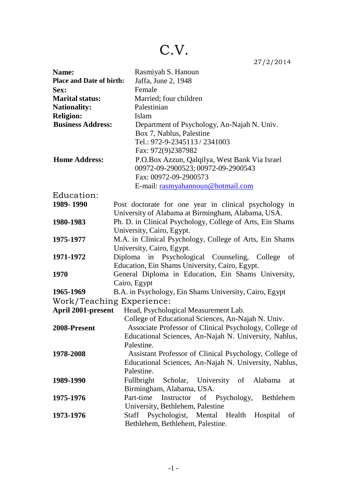# C.V.

27/2/2014

| Name:                           | Rasmiyah S. Hanoun                                        |
|---------------------------------|-----------------------------------------------------------|
| <b>Place and Date of birth:</b> | Jaffa, June 2, 1948                                       |
| Sex:                            | Female                                                    |
| <b>Marital status:</b>          | Married; four children                                    |
| <b>Nationality:</b>             | Palestinian                                               |
| <b>Religion:</b>                | Islam                                                     |
| <b>Business Address:</b>        | Department of Psychology, An-Najah N. Univ.               |
|                                 | Box 7, Nablus, Palestine                                  |
|                                 | Tel.: 972-9-2345113 / 2341003                             |
|                                 | Fax: 972(9)2387982                                        |
| <b>Home Address:</b>            | P.O.Box Azzun, Qalqilya, West Bank Via Israel             |
|                                 | 00972-09-2900523; 00972-09-2900543                        |
|                                 | Fax: 00972-09-2900573                                     |
|                                 | E-mail: rasmyahannoun@hotmail.com                         |
| Education:                      |                                                           |
| 1989-1990                       | Post doctorate for one year in clinical psychology in     |
|                                 | University of Alabama at Birmingham, Alabama, USA.        |
| 1980-1983                       | Ph. D. in Clinical Psychology, College of Arts, Ein Shams |
|                                 | University, Cairo, Egypt.                                 |
| 1975-1977                       | M.A. in Clinical Psychology, College of Arts, Ein Shams   |
|                                 | University, Cairo, Egypt.                                 |
| 1971-1972                       | Diploma in Psychological Counseling, College<br>- of      |
|                                 | Education, Ein Shams University, Cairo, Egypt.            |
| 1970                            | General Diploma in Education, Ein Shams University,       |
|                                 | Cairo, Egypt                                              |
| 1965-1969                       | B.A. in Psychology, Ein Shams University, Cairo, Egypt    |
| Work/Teaching Experience:       |                                                           |
| <b>April 2001-present</b>       | Head, Psychological Measurement Lab.                      |
|                                 | College of Educational Sciences, An-Najah N. Univ.        |
| 2008-Present                    | Associate Professor of Clinical Psychology, College of    |
|                                 | Educational Sciences, An-Najah N. University, Nablus,     |
|                                 | Palestine.                                                |
| 1978-2008                       | Assistant Professor of Clinical Psychology, College of    |
|                                 | Educational Sciences, An-Najah N. University, Nablus,     |
|                                 | Palestine.                                                |
| 1989-1990                       | Fullbright Scholar, University of Alabama<br>at           |
|                                 | Birmingham, Alabama, USA.                                 |
| 1975-1976                       | Part-time Instructor of Psychology, Bethlehem             |
|                                 | University, Bethlehem, Palestine                          |
| 1973-1976                       | Staff Psychologist, Mental Health Hospital<br>of          |
|                                 | Bethlehem, Bethlehem, Palestine.                          |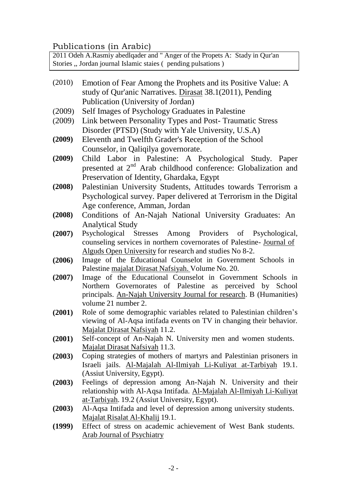## Publications (in Arabic)

2011 Odeh A.Rasmiy abedlqader and " Anger of the Propets A: Stady in Qur'an Stories ,, Jordan journal Islamic staies ( pending pulsations )

- (2010) Emotion of Fear Among the Prophets and its Positive Value: A study of Qur'anic Narratives. Dirasat 38.1(2011), Pending Publication (University of Jordan)
- (2009) Self Images of Psychology Graduates in Palestine
- (2009) Link between Personality Types and Post- Traumatic Stress Disorder (PTSD) (Study with Yale University, U.S.A)
- **(2009)** Eleventh and Twelfth Grader's Reception of the School Counselor, in Qaliqilya governorate.
- **(2009)** Child Labor in Palestine: A Psychological Study. Paper presented at 2<sup>nd</sup> Arab childhood conference: Globalization and Preservation of Identity, Ghardaka, Egypt
- **(2008)** Palestinian University Students, Attitudes towards Terrorism a Psychological survey. Paper delivered at Terrorism in the Digital Age conference, Amman, Jordan
- **(2008)** Conditions of An-Najah National University Graduates: An Analytical Study
- **(2007)** Psychological Stresses Among Providers of Psychological, counseling services in northern covernorates of Palestine- Journal of Alguds Open University for research and studies No 8-2.
- **(2006)** Image of the Educational Counselot in Government Schools in Palestine majalat Dirasat Nafsiyah. Volume No. 20.
- **(2007)** Image of the Educational Counselot in Government Schools in Northern Governorates of Palestine as perceived by School principals. An-Najah University Journal for research. B (Humanities) volume 21 number 2.
- **(2001)** Role of some demographic variables related to Palestinian children's viewing of Al-Aqsa intifada events on TV in changing their behavior. Majalat Dirasat Nafsiyah 11.2.
- **(2001)** Self-concept of An-Najah N. University men and women students. Majalat Dirasat Nafsiyah 11.3.
- **(2003)** Coping strategies of mothers of martyrs and Palestinian prisoners in Israeli jails. Al-Majalah Al-Ilmiyah Li-Kuliyat at-Tarbiyah 19.1. (Assiut University, Egypt).
- **(2003)** Feelings of depression among An-Najah N. University and their relationship with Al-Aqsa Intifada. Al-Majalah Al-Ilmiyah Li-Kuliyat at-Tarbiyah. 19.2 (Assiut University, Egypt).
- **(2003)** Al-Aqsa Intifada and level of depression among university students. Majalat Risalat Al-Khalij 19.1.
- **(1999)** Effect of stress on academic achievement of West Bank students. Arab Journal of Psychiatry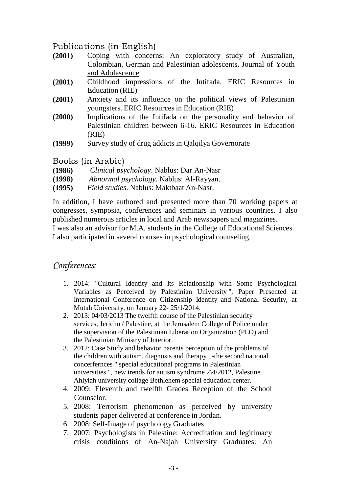# Publications (in English)

- **(2001)** Coping with concerns: An exploratory study of Australian, Colombian, German and Palestinian adolescents. Journal of Youth and Adolescence
- **(2001)** Childhood impressions of the Intifada. ERIC Resources in Education (RIE)
- **(2001)** Anxiety and its influence on the political views of Palestinian youngsters. ERIC Resources in Education (RIE)
- **(2000)** Implications of the Intifada on the personality and behavior of Palestinian children between 6-16. ERIC Resources in Education (RIE)
- **(1999)** Survey study of drug addicts in Qalqilya Governorate

Books (in Arabic)

- **(1986)** *Clinical psychology*. Nablus: Dar An-Nasr
- **(1998)** *Abnormal psychology*. Nablus: Al-Rayyan.
- **(1995)** *Field studies*. Nablus: Maktbaat An-Nasr.

In addition, I have authored and presented more than 70 working papers at congresses, symposia, conferences and seminars in various countries. I also published numerous articles in local and Arab newspapers and magazines. I was also an advisor for M.A. students in the College of Educational Sciences.

I also participated in several courses in psychological counseling.

# *Conferences:*

- 1. 2014: "Cultural Identity and Its Relationship with Some Psychological Variables as Perceived by Palestinian University ", Paper Presented at International Conference on Citizenship Identity and National Security, at Mutah University, on January 22- 25/1/2014.
- 2. 2013: 04/03/2013 The twelfth course of the Palestinian security services, Jericho / Palestine, at the Jerusalem College of Police under the supervision of the Palestinian Liberation Organization (PLO) and the Palestinian Ministry of Interior.
- 3. 2012: Case Study and behavior parents perception of the problems of the children with autism, diagnosis and therapy , -the second national concerfernces " special educational programs in Palestinian universities ", new trends for autism syndrome 2\4/2012, Palestine Ahlyiah university collage Bethlehem special education center.
- 4. 2009: Eleventh and twelfth Grades Reception of the School Counselor.
- 5. 2008: Terrorism phenomenon as perceived by university students paper delivered at conference in Jordan.
- 6. 2008: Self-Image of psychology Graduates.
- 7. 2007: Psychologists in Palestine: Accreditation and legitimacy crisis conditions of An-Najah University Graduates: An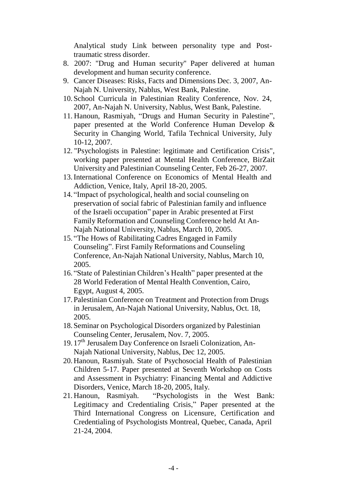Analytical study Link between personality type and Posttraumatic stress disorder.

- 8. 2007: "Drug and Human security" Paper delivered at human development and human security conference.
- 9. Cancer Diseases: Risks, Facts and Dimensions Dec. 3, 2007, An-Najah N. University, Nablus, West Bank, Palestine.
- 10. School Curricula in Palestinian Reality Conference, Nov. 24, 2007, An-Najah N. University, Nablus, West Bank, Palestine.
- 11. Hanoun, Rasmiyah, "Drugs and Human Security in Palestine", paper presented at the World Conference Human Develop & Security in Changing World, Tafila Technical University, July 10-12, 2007.
- 12. "Psychologists in Palestine: legitimate and Certification Crisis", working paper presented at Mental Health Conference, BirZait University and Palestinian Counseling Center, Feb 26-27, 2007.
- 13.International Conference on Economics of Mental Health and Addiction, Venice, Italy, April 18-20, 2005.
- 14. "Impact of psychological, health and social counseling on preservation of social fabric of Palestinian family and influence of the Israeli occupation" paper in Arabic presented at First Family Reformation and Counseling Conference held At An-Najah National University, Nablus, March 10, 2005.
- 15. "The Hows of Rabilitating Cadres Engaged in Family Counseling". First Family Reformations and Counseling Conference, An-Najah National University, Nablus, March 10, 2005.
- 16. "State of Palestinian Children's Health" paper presented at the 28 World Federation of Mental Health Convention, Cairo, Egypt, August 4, 2005.
- 17. Palestinian Conference on Treatment and Protection from Drugs in Jerusalem, An-Najah National University, Nablus, Oct. 18, 2005.
- 18. Seminar on Psychological Disorders organized by Palestinian Counseling Center, Jerusalem, Nov. 7, 2005.
- 19. 17<sup>th</sup> Jerusalem Day Conference on Israeli Colonization, An-Najah National University, Nablus, Dec 12, 2005.
- 20. Hanoun, Rasmiyah. State of Psychosocial Health of Palestinian Children 5-17. Paper presented at Seventh Workshop on Costs and Assessment in Psychiatry: Financing Mental and Addictive Disorders, Venice, March 18-20, 2005, Italy.
- 21. Hanoun, Rasmiyah. "Psychologists in the West Bank: Legitimacy and Credentialing Crisis," Paper presented at the Third International Congress on Licensure, Certification and Credentialing of Psychologists Montreal, Quebec, Canada, April 21-24, 2004.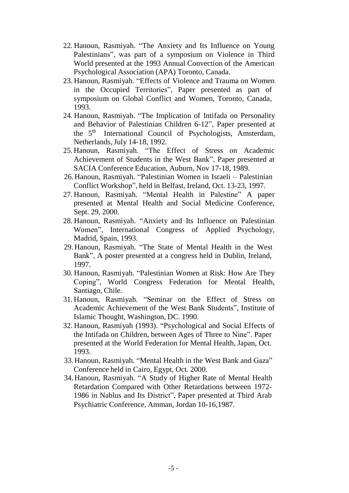- 22. Hanoun, Rasmiyah. "The Anxiety and Its Influence on Young Palestinians", was part of a symposium on Violence in Third World presented at the 1993 Annual Convection of the American Psychological Association (APA) Toronto, Canada.
- 23. Hanoun, Rasmiyah. "Effects of Violence and Trauma on Women in the Occupied Territories", Paper presented as part of symposium on Global Conflict and Women, Toronto, Canada, 1993.
- 24. Hanoun, Rasmiyah. "The Implication of Intifada on Personality and Behavior of Palestinian Children 6-12", Paper presented at the 5<sup>th</sup> International Council of Psychologists, Amsterdam, Netherlands, July 14-18, 1992.
- 25. Hanoun, Rasmiyah. "The Effect of Stress on Academic Achievement of Students in the West Bank", Paper presented at SACIA Conference Education, Auburn, Nov 17-18, 1989.
- 26. Hanoun, Rasmiyah. "Palestinian Women in Israeli Palestinian Conflict Workshop", held in Belfast, Ireland, Oct. 13-23, 1997.
- 27. Hanoun, Rasmiyah. "Mental Health in Palestine" A paper presented at Mental Health and Social Medicine Conference, Sept. 29, 2000.
- 28. Hanoun, Rasmiyah. "Anxiety and Its Influence on Palestinian Women", International Congress of Applied Psychology, Madrid, Spain, 1993.
- 29. Hanoun, Rasmiyah. "The State of Mental Health in the West Bank", A poster presented at a congress held in Dublin, Ireland, 1997.
- 30. Hanoun, Rasmiyah. "Palestinian Women at Risk: How Are They Coping", World Congress Federation for Mental Health, Santiago, Chile.
- 31. Hanoun, Rasmiyah. "Seminar on the Effect of Stress on Academic Achievement of the West Bank Students", Institute of Islamic Thought, Washington, DC. 1990.
- 32. Hanoun, Rasmiyah (1993). "Psychological and Social Effects of the Intifada on Children, between Ages of Three to Nine". Paper presented at the World Federation for Mental Health, Japan, Oct. 1993.
- 33. Hanoun, Rasmiyah. "Mental Health in the West Bank and Gaza" Conference held in Cairo, Egypt, Oct. 2000.
- 34. Hanoun, Rasmiyah. "A Study of Higher Rate of Mental Health Retardation Compared with Other Retardations between 1972- 1986 in Nablus and Its District", Paper presented at Third Arab Psychiatric Conference, Amman, Jordan 10-16,1987.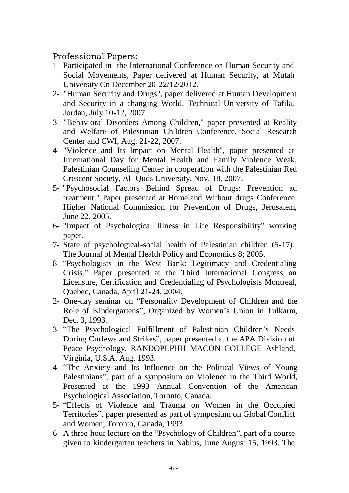Professional Papers:

- 1- Participated in the International Conference on Human Security and Social Movements, Paper delivered at Human Security, at Mutah University On December 20-22/12/2012.
- 2- "Human Security and Drugs", paper delivered at Human Development and Security in a changing World. Technical University of Tafila, Jordan, July 10-12, 2007.
- 3- "Behavioral Disorders Among Children," paper presented at Reality and Welfare of Palestinian Children Conference, Social Research Center and CWI, Aug. 21-22, 2007.
- 4- "Violence and Its Impact on Mental Health", paper presented at International Day for Mental Health and Family Violence Weak, Palestinian Counseling Center in cooperation with the Palestinian Red Crescent Society, Al- Quds University, Nov. 18, 2007.
- 5- "Psychosocial Factors Behind Spread of Drugs: Prevention ad treatment." Paper presented at Homeland Without drugs Conference. Higher National Commission for Prevention of Drugs, Jerusalem, June 22, 2005.
- 6- "Impact of Psychological Illness in Life Responsibility" working paper.
- 7- State of psychological-social health of Palestinian children (5-17). The Journal of Mental Health Policy and Economics 8; 2005.
- 8- "Psychologists in the West Bank: Legitimacy and Credentialing Crisis," Paper presented at the Third International Congress on Licensure, Certification and Credentialing of Psychologists Montreal, Quebec, Canada, April 21-24, 2004.
- 2- One-day seminar on "Personality Development of Children and the Role of Kindergartens", Organized by Women's Union in Tulkarm, Dec. 3, 1993.
- 3- "The Psychological Fulfillment of Palestinian Children's Needs During Curfews and Strikes", paper presented at the APA Division of Peace Psychology. RANDOPLPHH MACON COLLEGE Ashland, Virginia, U.S.A, Aug. 1993.
- 4- "The Anxiety and Its Influence on the Political Views of Young Palestinians", part of a symposium on Violence in the Third World, Presented at the 1993 Annual Convention of the American Psychological Association, Toronto, Canada.
- 5- "Effects of Violence and Trauma on Women in the Occupied Territories", paper presented as part of symposium on Global Conflict and Women, Toronto, Canada, 1993.
- 6- A three-hour lecture on the "Psychology of Children", part of a course given to kindergarten teachers in Nablus, June August 15, 1993. The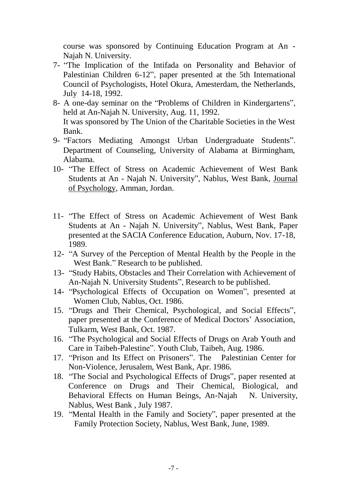course was sponsored by Continuing Education Program at An - Najah N. University.

- 7- "The Implication of the Intifada on Personality and Behavior of Palestinian Children 6-12", paper presented at the 5th International Council of Psychologists, Hotel Okura, Amesterdam, the Netherlands, July 14-18, 1992.
- 8- A one-day seminar on the "Problems of Children in Kindergartens", held at An-Najah N. University, Aug. 11, 1992. It was sponsored by The Union of the Charitable Societies in the West Bank.
- 9- "Factors Mediating Amongst Urban Undergraduate Students". Department of Counseling, University of Alabama at Birmingham, Alabama.
- 10- "The Effect of Stress on Academic Achievement of West Bank Students at An - Najah N. University", Nablus, West Bank, Journal of Psychology, Amman, Jordan.
- 11- "The Effect of Stress on Academic Achievement of West Bank Students at An - Najah N. University", Nablus, West Bank, Paper presented at the SACIA Conference Education, Auburn, Nov. 17-18, 1989.
- 12- "A Survey of the Perception of Mental Health by the People in the West Bank." Research to be published.
- 13- "Study Habits, Obstacles and Their Correlation with Achievement of An-Najah N. University Students", Research to be published.
- 14- "Psychological Effects of Occupation on Women", presented at Women Club, Nablus, Oct. 1986.
- 15. "Drugs and Their Chemical, Psychological, and Social Effects", paper presented at the Conference of Medical Doctors' Association, Tulkarm, West Bank, Oct. 1987.
- 16. "The Psychological and Social Effects of Drugs on Arab Youth and Care in Taibeh-Palestine". Youth Club, Taibeh, Aug. 1986.
- 17. "Prison and Its Effect on Prisoners". The Palestinian Center for Non-Violence, Jerusalem, West Bank, Apr. 1986.
- 18. "The Social and Psychological Effects of Drugs", paper resented at Conference on Drugs and Their Chemical, Biological, and Behavioral Effects on Human Beings, An-Najah N. University, Nablus, West Bank , July 1987.
- 19. "Mental Health in the Family and Society", paper presented at the Family Protection Society, Nablus, West Bank, June, 1989.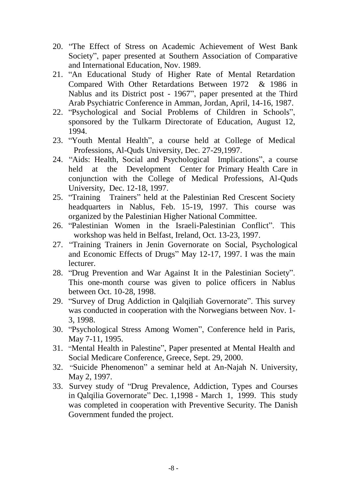- 20. "The Effect of Stress on Academic Achievement of West Bank Society", paper presented at Southern Association of Comparative and International Education, Nov. 1989.
- 21. "An Educational Study of Higher Rate of Mental Retardation Compared With Other Retardations Between 1972 & 1986 in Nablus and its District post - 1967", paper presented at the Third Arab Psychiatric Conference in Amman, Jordan, April, 14-16, 1987.
- 22. "Psychological and Social Problems of Children in Schools", sponsored by the Tulkarm Directorate of Education, August 12, 1994.
- 23. "Youth Mental Health", a course held at College of Medical Professions, Al-Quds University, Dec. 27-29,1997.
- 24. "Aids: Health, Social and Psychological Implications", a course held at the Development Center for Primary Health Care in conjunction with the College of Medical Professions, Al-Quds University, Dec. 12-18, 1997.
- 25. "Training Trainers" held at the Palestinian Red Crescent Society headquarters in Nablus, Feb. 15-19, 1997. This course was organized by the Palestinian Higher National Committee.
- 26. "Palestinian Women in the Israeli-Palestinian Conflict". This workshop was held in Belfast, Ireland, Oct. 13-23, 1997.
- 27. "Training Trainers in Jenin Governorate on Social, Psychological and Economic Effects of Drugs" May 12-17, 1997. I was the main lecturer.
- 28. "Drug Prevention and War Against It in the Palestinian Society". This one-month course was given to police officers in Nablus between Oct. 10-28, 1998.
- 29. "Survey of Drug Addiction in Qalqiliah Governorate". This survey was conducted in cooperation with the Norwegians between Nov. 1- 3, 1998.
- 30. "Psychological Stress Among Women", Conference held in Paris, May 7-11, 1995.
- 31. "Mental Health in Palestine", Paper presented at Mental Health and Social Medicare Conference, Greece, Sept. 29, 2000.
- 32. "Suicide Phenomenon" a seminar held at An-Najah N. University, May 2, 1997.
- 33. Survey study of "Drug Prevalence, Addiction, Types and Courses in Qalqilia Governorate" Dec. 1,1998 - March 1, 1999. This study was completed in cooperation with Preventive Security. The Danish Government funded the project.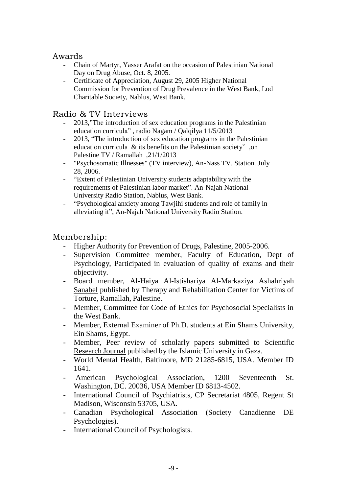#### Awards

- Chain of Martyr, Yasser Arafat on the occasion of Palestinian National Day on Drug Abuse, Oct. 8, 2005.
- Certificate of Appreciation, August 29, 2005 Higher National Commission for Prevention of Drug Prevalence in the West Bank, Lod Charitable Society, Nablus, West Bank.

### Radio & TV Interviews

- 2013,"The introduction of sex education programs in the Palestinian education curricula" , radio Nagam / Qalqilya 11/5/2013
- 2013, "The introduction of sex education programs in the Palestinian education curricula & its benefits on the Palestinian society" ,on Palestine TV / Ramallah ,21/1/2013
- "Psychosomatic Illnesses" (TV interview), An-Nass TV. Station. July 28, 2006.
- "Extent of Palestinian University students adaptability with the requirements of Palestinian labor market". An-Najah National University Radio Station, Nablus, West Bank.
- "Psychological anxiety among Tawjihi students and role of family in alleviating it", An-Najah National University Radio Station.

## Membership:

- Higher Authority for Prevention of Drugs, Palestine, 2005-2006.
- Supervision Committee member, Faculty of Education, Dept of Psychology, Participated in evaluation of quality of exams and their objectivity.
- Board member, Al-Haiya Al-Istishariya Al-Markaziya Ashahriyah Sanabel published by Therapy and Rehabilitation Center for Victims of Torture, Ramallah, Palestine.
- Member, Committee for Code of Ethics for Psychosocial Specialists in the West Bank.
- Member, External Examiner of Ph.D. students at Ein Shams University, Ein Shams, Egypt.
- Member, Peer review of scholarly papers submitted to Scientific Research Journal published by the Islamic University in Gaza.
- World Mental Health, Baltimore, MD 21285-6815, USA. Member ID 1641.
- American Psychological Association, 1200 Seventeenth St. Washington, DC. 20036, USA Member ID 6813-4502.
- International Council of Psychiatrists, CP Secretariat 4805, Regent St Madison, Wisconsin 53705, USA.
- Canadian Psychological Association (Society Canadienne DE Psychologies).
- International Council of Psychologists.